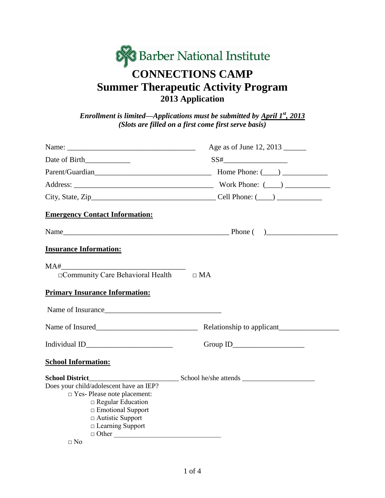# **&Barber National Institute CONNECTIONS CAMP Summer Therapeutic Activity Program 2013 Application**

*Enrollment is limited—Applications must be submitted by April 1st, 2013 (Slots are filled on a first come first serve basis)*

|                                                      | Age as of June 12, 2013                                           |
|------------------------------------------------------|-------------------------------------------------------------------|
|                                                      | $SS# \_\_ \_\_ \_\_ \_\_ \_\_ \_\_ \_\_ \_\_ \_\_ \_ \_ \_ \_ \_$ |
|                                                      |                                                                   |
|                                                      |                                                                   |
|                                                      |                                                                   |
| <b>Emergency Contact Information:</b>                |                                                                   |
|                                                      |                                                                   |
| <b>Insurance Information:</b>                        |                                                                   |
| $\Box$ Community Care Behavioral Health $\Box$ MA    |                                                                   |
| <b>Primary Insurance Information:</b>                |                                                                   |
| Name of Insurance                                    |                                                                   |
|                                                      |                                                                   |
|                                                      |                                                                   |
| <b>School Information:</b>                           |                                                                   |
|                                                      |                                                                   |
| Does your child/adolescent have an IEP?              |                                                                   |
| $\Box$ Yes-Please note placement:                    |                                                                   |
| $\Box$ Regular Education<br>$\Box$ Emotional Support |                                                                   |
| $\Box$ Autistic Support                              |                                                                   |
| $\Box$ Learning Support                              |                                                                   |
| $\Box$ Other                                         |                                                                   |
| $\Box$ No                                            |                                                                   |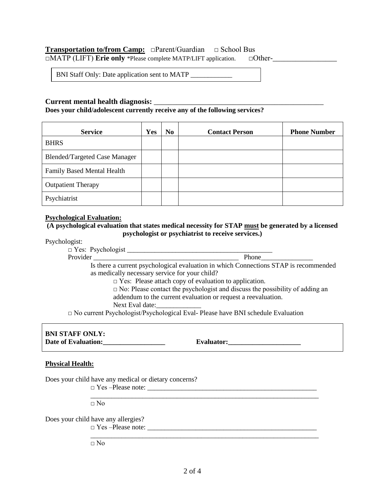## **Transportation to/from Camp:** □Parent/Guardian □ School Bus

□MATP (LIFT) **Erie only** \*Please complete MATP/LIFT application. □Other-\_\_\_\_\_\_\_\_\_\_\_\_\_\_\_\_\_

BNI Staff Only: Date application sent to MATP \_\_\_\_\_\_\_\_\_\_\_\_

### **Current mental health diagnosis:** \_\_\_\_\_\_\_\_\_\_\_\_\_\_\_\_\_\_\_\_\_\_\_\_\_\_\_\_\_\_\_\_\_\_\_\_\_\_\_\_\_\_\_\_\_

#### **Does your child/adolescent currently receive any of the following services?**

| <b>Service</b>                       | Yes | N <sub>0</sub> | <b>Contact Person</b> | <b>Phone Number</b> |
|--------------------------------------|-----|----------------|-----------------------|---------------------|
| <b>BHRS</b>                          |     |                |                       |                     |
| <b>Blended/Targeted Case Manager</b> |     |                |                       |                     |
| <b>Family Based Mental Health</b>    |     |                |                       |                     |
| <b>Outpatient Therapy</b>            |     |                |                       |                     |
| Psychiatrist                         |     |                |                       |                     |

## **Psychological Evaluation:**

#### **(A psychological evaluation that states medical necessity for STAP must be generated by a licensed psychologist or psychiatrist to receive services.)**

Psychologist:

| $\Box$ Yes: Psychologist _ |                                                                                      |
|----------------------------|--------------------------------------------------------------------------------------|
| Provider                   | <b>Phone</b>                                                                         |
|                            | Is there a current psychological evaluation in which Connections STAP is recommended |
|                            | as medically necessary service for your child?                                       |
|                            | $\Box$ Yes: Please attach copy of evaluation to application.                         |
|                            | $\Box$ No: Please contact the psychologist and discuss the possibility of adding an  |
|                            | addendum to the current evaluation or request a reevaluation.                        |

Next Eval date:

 $\Box$  No current Psychologist/Psychological Eval- Please have BNI schedule Evaluation

# **BNI STAFF ONLY: Date of Evaluation:\_\_\_\_\_\_\_\_\_\_\_\_\_\_\_\_\_\_ Evaluator:\_\_\_\_\_\_\_\_\_\_\_\_\_\_\_\_\_\_\_\_\_**

\_\_\_\_\_\_\_\_\_\_\_\_\_\_\_\_\_\_\_\_\_\_\_\_\_\_\_\_\_\_\_\_\_\_\_\_\_\_\_\_\_\_\_\_\_\_\_\_\_\_\_\_\_\_\_\_\_\_\_\_\_\_\_\_\_\_

#### **Physical Health:**

Does your child have any medical or dietary concerns?

 $\square$  Yes –Please note:

 $\Box$  No

Does your child have any allergies?

□ Yes –Please note: \_\_\_\_\_\_\_\_\_\_\_\_\_\_\_\_\_\_\_\_\_\_\_\_\_\_\_\_\_\_\_\_\_\_\_\_\_\_\_\_\_\_\_\_\_\_\_\_\_

\_\_\_\_\_\_\_\_\_\_\_\_\_\_\_\_\_\_\_\_\_\_\_\_\_\_\_\_\_\_\_\_\_\_\_\_\_\_\_\_\_\_\_\_\_\_\_\_\_\_\_\_\_\_\_\_\_\_\_\_\_\_\_\_\_\_  $\Box$  No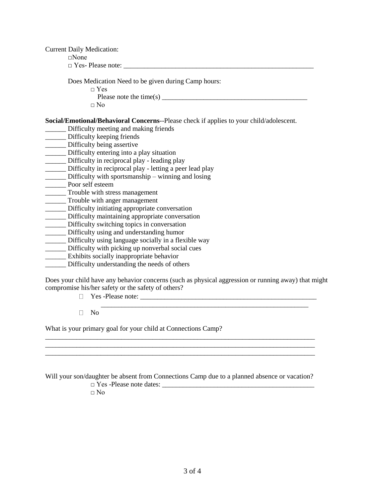Current Daily Medication:  $\Box$ None  $\Box$  Yes- Please note: Does Medication Need to be given during Camp hours: □ Yes Please note the time(s)  $\overline{\phantom{a}}$  $\Box$  No **Social/Emotional/Behavioral Concerns**--Please check if applies to your child/adolescent. \_\_\_\_\_\_ Difficulty meeting and making friends \_\_\_\_\_\_ Difficulty keeping friends \_\_\_\_\_\_ Difficulty being assertive \_\_\_\_\_\_ Difficulty entering into a play situation \_\_\_\_\_\_ Difficulty in reciprocal play - leading play \_\_\_\_\_\_ Difficulty in reciprocal play - letting a peer lead play \_\_\_\_\_\_ Difficulty with sportsmanship – winning and losing Poor self esteem \_\_\_\_\_\_ Trouble with stress management \_\_\_\_\_\_ Trouble with anger management \_\_\_\_\_\_ Difficulty initiating appropriate conversation \_\_\_\_\_\_ Difficulty maintaining appropriate conversation

- 
- \_\_\_\_\_\_ Difficulty switching topics in conversation
- \_\_\_\_\_\_ Difficulty using and understanding humor
- \_\_\_\_\_\_ Difficulty using language socially in a flexible way
- \_\_\_\_\_\_ Difficulty with picking up nonverbal social cues
- \_\_\_\_\_\_ Exhibits socially inappropriate behavior
- \_\_\_\_\_\_ Difficulty understanding the needs of others

Does your child have any behavior concerns (such as physical aggression or running away) that might compromise his/her safety or the safety of others?

\_\_\_\_\_\_\_\_\_\_\_\_\_\_\_\_\_\_\_\_\_\_\_\_\_\_\_\_\_\_\_\_\_\_\_\_\_\_\_\_\_\_\_\_\_\_\_\_\_\_\_\_\_\_\_\_\_\_\_\_

Yes -Please note: \_\_\_\_\_\_\_\_\_\_\_\_\_\_\_\_\_\_\_\_\_\_\_\_\_\_\_\_\_\_\_\_\_\_\_\_\_\_\_\_\_\_\_\_\_\_\_\_\_\_\_

 $\Box$  No

What is your primary goal for your child at Connections Camp?

Will your son/daughter be absent from Connections Camp due to a planned absence or vacation? □ Yes -Please note dates: \_\_\_\_\_\_\_\_\_\_\_\_\_\_\_\_\_\_\_\_\_\_\_\_\_\_\_\_\_\_\_\_\_\_\_\_\_\_\_\_\_\_\_\_

\_\_\_\_\_\_\_\_\_\_\_\_\_\_\_\_\_\_\_\_\_\_\_\_\_\_\_\_\_\_\_\_\_\_\_\_\_\_\_\_\_\_\_\_\_\_\_\_\_\_\_\_\_\_\_\_\_\_\_\_\_\_\_\_\_\_\_\_\_\_\_\_\_\_\_\_\_\_

 $\Box$  No